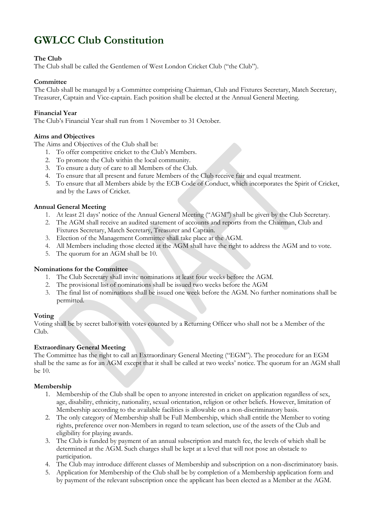# **GWLCC Club Constitution**

# **The Club**

The Club shall be called the Gentlemen of West London Cricket Club ("the Club").

# **Committee**

The Club shall be managed by a Committee comprising Chairman, Club and Fixtures Secretary, Match Secretary, Treasurer, Captain and Vice-captain. Each position shall be elected at the Annual General Meeting.

#### **Financial Year**

The Club's Financial Year shall run from 1 November to 31 October.

# **Aims and Objectives**

The Aims and Objectives of the Club shall be:

- 1. To offer competitive cricket to the Club's Members.
- 2. To promote the Club within the local community.
- 3. To ensure a duty of care to all Members of the Club.
- 4. To ensure that all present and future Members of the Club receive fair and equal treatment.
- 5. To ensure that all Members abide by the ECB Code of Conduct, which incorporates the Spirit of Cricket, and by the Laws of Cricket.

# **Annual General Meeting**

- 1. At least 21 days' notice of the Annual General Meeting ("AGM") shall be given by the Club Secretary.
- 2. The AGM shall receive an audited statement of accounts and reports from the Chairman, Club and Fixtures Secretary, Match Secretary, Treasurer and Captain.
- 3. Election of the Management Committee shall take place at the AGM.
- 4. All Members including those elected at the AGM shall have the right to address the AGM and to vote.
- 5. The quorum for an AGM shall be 10.

#### **Nominations for the Committee**

- 1. The Club Secretary shall invite nominations at least four weeks before the AGM.
- 2. The provisional list of nominations shall be issued two weeks before the AGM
- 3. The final list of nominations shall be issued one week before the AGM. No further nominations shall be permitted.

#### **Voting**

Voting shall be by secret ballot with votes counted by a Returning Officer who shall not be a Member of the Club.

# **Extraordinary General Meeting**

The Committee has the right to call an Extraordinary General Meeting ("EGM"). The procedure for an EGM shall be the same as for an AGM except that it shall be called at two weeks' notice. The quorum for an AGM shall be 10.

#### **Membership**

- 1. Membership of the Club shall be open to anyone interested in cricket on application regardless of sex, age, disability, ethnicity, nationality, sexual orientation, religion or other beliefs. However, limitation of Membership according to the available facilities is allowable on a non-discriminatory basis.
- 2. The only category of Membership shall be Full Membership, which shall entitle the Member to voting rights, preference over non-Members in regard to team selection, use of the assets of the Club and eligibility for playing awards.
- 3. The Club is funded by payment of an annual subscription and match fee, the levels of which shall be determined at the AGM. Such charges shall be kept at a level that will not pose an obstacle to participation.
- 4. The Club may introduce different classes of Membership and subscription on a non-discriminatory basis.
- 5. Application for Membership of the Club shall be by completion of a Membership application form and by payment of the relevant subscription once the applicant has been elected as a Member at the AGM.